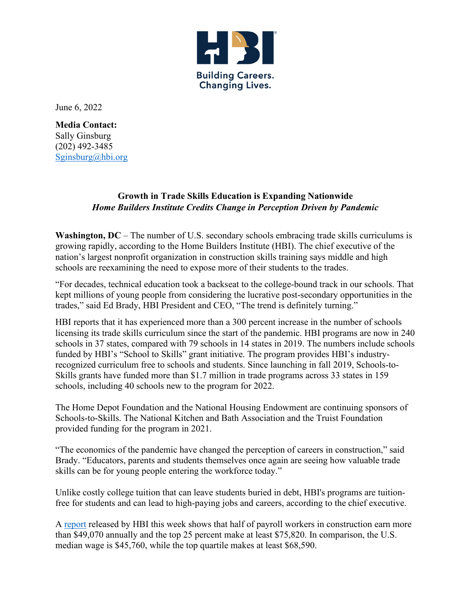

June 6, 2022

**Media Contact:** Sally Ginsburg (202) 492-3485 [Sginsburg@hbi.org](mailto:Sginsburg@hbi.org)

## **Growth in Trade Skills Education is Expanding Nationwide** *Home Builders Institute Credits Change in Perception Driven by Pandemic*

Washington, DC – The number of U.S. secondary schools embracing trade skills curriculums is growing rapidly, according to the Home Builders Institute (HBI). The chief executive of the nation's largest nonprofit organization in construction skills training says middle and high schools are reexamining the need to expose more of their students to the trades.

"For decades, technical education took a backseat to the college-bound track in our schools. That kept millions of young people from considering the lucrative post-secondary opportunities in the trades," said Ed Brady, HBI President and CEO, "The trend is definitely turning."

HBI reports that it has experienced more than a 300 percent increase in the number of schools licensing its trade skills curriculum since the start of the pandemic. HBI programs are now in 240 schools in 37 states, compared with 79 schools in 14 states in 2019. The numbers include schools funded by HBI's "School to Skills" grant initiative. The program provides HBI's industryrecognized curriculum free to schools and students. Since launching in fall 2019, Schools-to-Skills grants have funded more than \$1.7 million in trade programs across 33 states in 159 schools, including 40 schools new to the program for 2022.

The Home Depot Foundation and the National Housing Endowment are continuing sponsors of Schools-to-Skills. The National Kitchen and Bath Association and the Truist Foundation provided funding for the program in 2021.

"The economics of the pandemic have changed the perception of careers in construction," said Brady. "Educators, parents and students themselves once again are seeing how valuable trade skills can be for young people entering the workforce today."

Unlike costly college tuition that can leave students buried in debt, HBI's programs are tuitionfree for students and can lead to high-paying jobs and careers, according to the chief executive.

A [report](https://hbi.org/wp-content/uploads/Spring-2022-HBI-Construction-Labor-Market-Report.pdf) released by HBI this week shows that half of payroll workers in construction earn more than \$49,070 annually and the top 25 percent make at least \$75,820. In comparison, the U.S. median wage is \$45,760, while the top quartile makes at least \$68,590.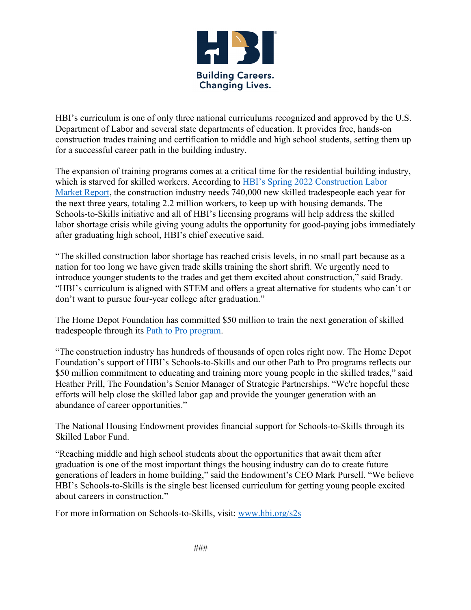

HBI's curriculum is one of only three national curriculums recognized and approved by the U.S. Department of Labor and several state departments of education. It provides free, hands-on construction trades training and certification to middle and high school students, setting them up for a successful career path in the building industry.

The expansion of training programs comes at a critical time for the residential building industry, which is starved for skilled workers. According to [HBI's Spring 2022 Construction Labor](https://hbi.org/wp-content/uploads/Spring-2022-HBI-Construction-Labor-Market-Report.pdf)  [Market Report,](https://hbi.org/wp-content/uploads/Spring-2022-HBI-Construction-Labor-Market-Report.pdf) the construction industry needs 740,000 new skilled tradespeople each year for the next three years, totaling 2.2 million workers, to keep up with housing demands. The Schools-to-Skills initiative and all of HBI's licensing programs will help address the skilled labor shortage crisis while giving young adults the opportunity for good-paying jobs immediately after graduating high school, HBI's chief executive said.

"The skilled construction labor shortage has reached crisis levels, in no small part because as a nation for too long we have given trade skills training the short shrift. We urgently need to introduce younger students to the trades and get them excited about construction," said Brady. "HBI's curriculum is aligned with STEM and offers a great alternative for students who can't or don't want to pursue four-year college after graduation."

The Home Depot Foundation has committed \$50 million to train the next generation of skilled tradespeople through its [Path to Pro program.](https://www.pathtopro.com/foundation/)

"The construction industry has hundreds of thousands of open roles right now. The Home Depot Foundation's support of HBI's Schools-to-Skills and our other Path to Pro programs reflects our \$50 million commitment to educating and training more young people in the skilled trades," said Heather Prill, The Foundation's Senior Manager of Strategic Partnerships. "We're hopeful these efforts will help close the skilled labor gap and provide the younger generation with an abundance of career opportunities."

The National Housing Endowment provides financial support for Schools-to-Skills through its Skilled Labor Fund.

"Reaching middle and high school students about the opportunities that await them after graduation is one of the most important things the housing industry can do to create future generations of leaders in home building," said the Endowment's CEO Mark Pursell. "We believe HBI's Schools-to-Skills is the single best licensed curriculum for getting young people excited about careers in construction."

For more information on Schools-to-Skills, visit: [www.hbi.org/s2s](http://www.hbi.org/s2s)